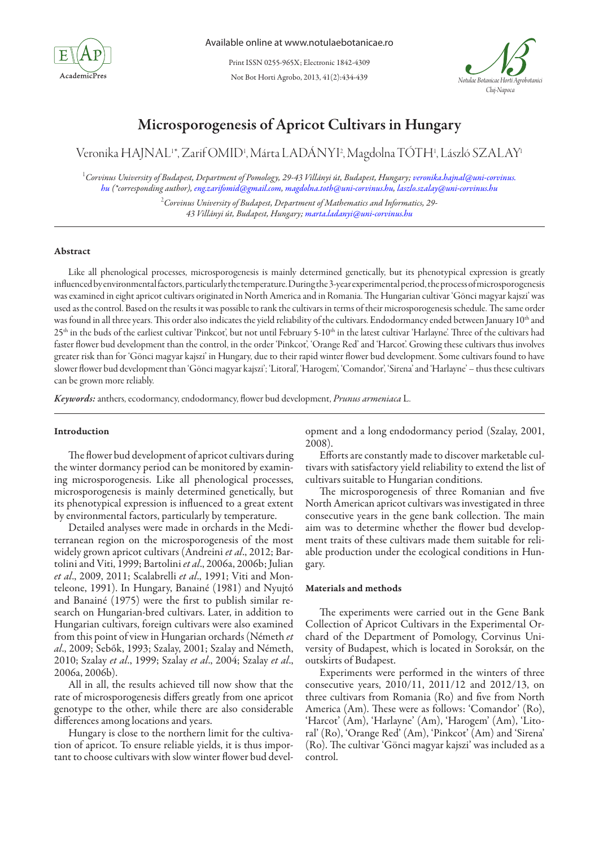

Not Bot Horti Agrobo, 2013, 41(2):434-439 Print ISSN 0255-965X; Electronic 1842-4309



# Microsporogenesis of Apricot Cultivars in Hungary

Veronika HAJNAL'\*, Zarif OMID', Márta LADÁNYI?, Magdolna TÓTH', László SZALAY'

1 *Corvinus University of Budapest, Department of Pomology, 29-43 Villányi út, Budapest, Hungary; veronika.hajnal@uni-corvinus. hu (\*corresponding author), eng.zarifomid@gmail.com, magdolna.toth@uni-corvinus.hu, laszlo.szalay@uni-corvinus.hu*

2 *Corvinus University of Budapest, Department of Mathematics and Informatics, 29- 43 Villányi út, Budapest, Hungary; marta.ladanyi@uni-corvinus.hu* 

# Abstract

Like all phenological processes, microsporogenesis is mainly determined genetically, but its phenotypical expression is greatly influenced by environmental factors, particularly the temperature. During the 3-year experimental period, the process of microsporogenesis was examined in eight apricot cultivars originated in North America and in Romania. The Hungarian cultivar 'Gönci magyar kajszi' was used as the control. Based on the results it was possible to rank the cultivars in terms of their microsporogenesis schedule. The same order was found in all three years. This order also indicates the yield reliability of the cultivars. Endodormancy ended between January 10th and 25<sup>th</sup> in the buds of the earliest cultivar 'Pinkcot', but not until February 5-10<sup>th</sup> in the latest cultivar 'Harlayne'. Three of the cultivars had faster flower bud development than the control, in the order 'Pinkcot', 'Orange Red' and 'Harcot'. Growing these cultivars thus involves greater risk than for 'Gönci magyar kajszi' in Hungary, due to their rapid winter flower bud development. Some cultivars found to have slower flower bud development than 'Gönci magyar kajszi'; 'Litoral', 'Harogem', 'Comandor', 'Sirena' and 'Harlayne' – thus these cultivars can be grown more reliably.

*Keywords:* anthers, ecodormancy, endodormancy, flower bud development, *Prunus armeniaca* L.

### Introduction

The flower bud development of apricot cultivars during the winter dormancy period can be monitored by examining microsporogenesis. Like all phenological processes, microsporogenesis is mainly determined genetically, but its phenotypical expression is influenced to a great extent by environmental factors, particularly by temperature.

Detailed analyses were made in orchards in the Mediterranean region on the microsporogenesis of the most widely grown apricot cultivars (Andreini *et al*., 2012; Bartolini and Viti, 1999; Bartolini *et al*., 2006a, 2006b; Julian *et al*., 2009, 2011; Scalabrelli *et al*., 1991; Viti and Monteleone, 1991). In Hungary, Banainé (1981) and Nyujtó and Banainé (1975) were the first to publish similar research on Hungarian-bred cultivars. Later, in addition to Hungarian cultivars, foreign cultivars were also examined from this point of view in Hungarian orchards (Németh *et al*., 2009; Sebők, 1993; Szalay, 2001; Szalay and Németh, 2010; Szalay *et al*., 1999; Szalay *et al*., 2004; Szalay *et al*., 2006a, 2006b).

All in all, the results achieved till now show that the rate of microsporogenesis differs greatly from one apricot genotype to the other, while there are also considerable differences among locations and years.

Hungary is close to the northern limit for the cultivation of apricot. To ensure reliable yields, it is thus important to choose cultivars with slow winter flower bud development and a long endodormancy period (Szalay, 2001, 2008).

Efforts are constantly made to discover marketable cultivars with satisfactory yield reliability to extend the list of cultivars suitable to Hungarian conditions.

The microsporogenesis of three Romanian and five North American apricot cultivars was investigated in three consecutive years in the gene bank collection. The main aim was to determine whether the flower bud development traits of these cultivars made them suitable for reliable production under the ecological conditions in Hungary.

# Materials and methods

The experiments were carried out in the Gene Bank Collection of Apricot Cultivars in the Experimental Orchard of the Department of Pomology, Corvinus University of Budapest, which is located in Soroksár, on the outskirts of Budapest.

Experiments were performed in the winters of three consecutive years, 2010/11, 2011/12 and 2012/13, on three cultivars from Romania (Ro) and five from North America (Am). These were as follows: 'Comandor' (Ro), 'Harcot' (Am), 'Harlayne' (Am), 'Harogem' (Am), 'Litoral' (Ro), 'Orange Red' (Am), 'Pinkcot' (Am) and 'Sirena' (Ro). The cultivar 'Gönci magyar kajszi' was included as a control.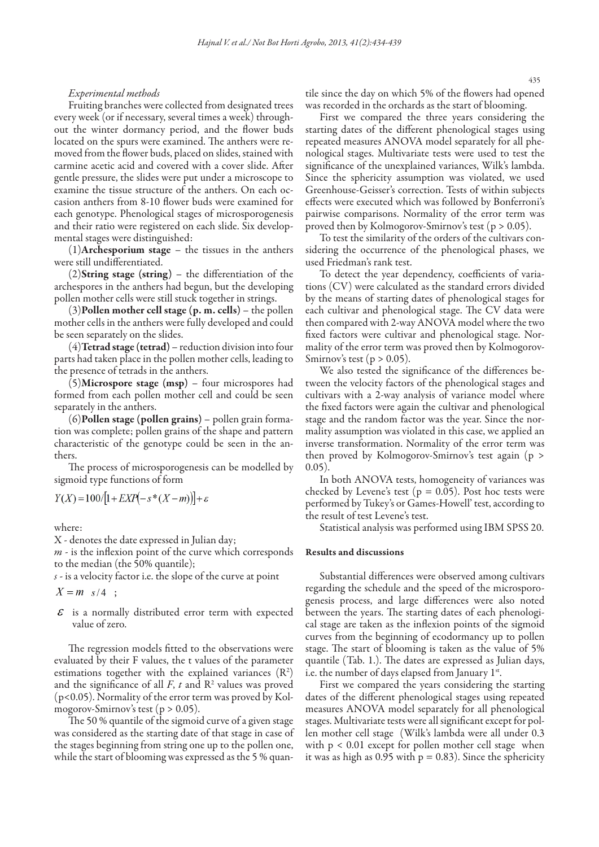# *Experimental methods*

Fruiting branches were collected from designated trees every week (or if necessary, several times a week) throughout the winter dormancy period, and the flower buds located on the spurs were examined. The anthers were removed from the flower buds, placed on slides, stained with carmine acetic acid and covered with a cover slide. After gentle pressure, the slides were put under a microscope to examine the tissue structure of the anthers. On each occasion anthers from 8-10 flower buds were examined for each genotype. Phenological stages of microsporogenesis and their ratio were registered on each slide. Six developmental stages were distinguished:

 $(1)$ Archesporium stage – the tissues in the anthers were still undifferentiated.

(2)String stage (string) – the differentiation of the archespores in the anthers had begun, but the developing pollen mother cells were still stuck together in strings.

(3)Pollen mother cell stage (p. m. cells) – the pollen mother cells in the anthers were fully developed and could be seen separately on the slides.

 $(4)$ Tetrad stage (tetrad) – reduction division into four parts had taken place in the pollen mother cells, leading to the presence of tetrads in the anthers.

(5)Microspore stage (msp) – four microspores had formed from each pollen mother cell and could be seen separately in the anthers.

 $(6)$ Pollen stage (pollen grains) – pollen grain formation was complete; pollen grains of the shape and pattern characteristic of the genotype could be seen in the anthers.

The process of microsporogenesis can be modelled by sigmoid type functions of form

$$
Y(X) = 100/[1+EXP(-s*(X-m))] + \varepsilon
$$

where:

X - denotes the date expressed in Julian day;

*m* - is the inflexion point of the curve which corresponds to the median (the 50% quantile);

*s -* is a velocity factor i.e. the slope of the curve at point

 $X = m$   $s/4$  ;

 $\epsilon$  is a normally distributed error term with expected value of zero.

The regression models fitted to the observations were evaluated by their F values, the t values of the parameter estimations together with the explained variances  $(R^2)$ and the significance of all  $F$ ,  $t$  and  $R<sup>2</sup>$  values was proved (p<0.05). Normality of the error term was proved by Kolmogorov-Smirnov's test ( $p > 0.05$ ).

The 50 % quantile of the sigmoid curve of a given stage was considered as the starting date of that stage in case of the stages beginning from string one up to the pollen one, while the start of blooming was expressed as the 5 % quantile since the day on which 5% of the flowers had opened was recorded in the orchards as the start of blooming.

First we compared the three years considering the starting dates of the different phenological stages using repeated measures ANOVA model separately for all phenological stages. Multivariate tests were used to test the significance of the unexplained variances, Wilk's lambda. Since the sphericity assumption was violated, we used Greenhouse-Geisser's correction. Tests of within subjects effects were executed which was followed by Bonferroni's pairwise comparisons. Normality of the error term was proved then by Kolmogorov-Smirnov's test (p > 0.05).

To test the similarity of the orders of the cultivars considering the occurrence of the phenological phases, we used Friedman's rank test.

To detect the year dependency, coefficients of variations (CV) were calculated as the standard errors divided by the means of starting dates of phenological stages for each cultivar and phenological stage. The CV data were then compared with 2-way ANOVA model where the two fixed factors were cultivar and phenological stage. Normality of the error term was proved then by Kolmogorov-Smirnov's test ( $p > 0.05$ ).

We also tested the significance of the differences between the velocity factors of the phenological stages and cultivars with a 2-way analysis of variance model where the fixed factors were again the cultivar and phenological stage and the random factor was the year. Since the normality assumption was violated in this case, we applied an inverse transformation. Normality of the error term was then proved by Kolmogorov-Smirnov's test again (p > 0.05).

In both ANOVA tests, homogeneity of variances was checked by Levene's test ( $p = 0.05$ ). Post hoc tests were performed by Tukey's or Games-Howell' test, according to the result of test Levene's test.

Statistical analysis was performed using IBM SPSS 20.

### Results and discussions

Substantial differences were observed among cultivars regarding the schedule and the speed of the microsporogenesis process, and large differences were also noted between the years. The starting dates of each phenological stage are taken as the inflexion points of the sigmoid curves from the beginning of ecodormancy up to pollen stage. The start of blooming is taken as the value of 5% quantile (Tab. 1.). The dates are expressed as Julian days, i.e. the number of days elapsed from January 1st.

First we compared the years considering the starting dates of the different phenological stages using repeated measures ANOVA model separately for all phenological stages. Multivariate tests were all significant except for pollen mother cell stage (Wilk's lambda were all under 0.3 with p < 0.01 except for pollen mother cell stage when it was as high as  $0.95$  with  $p = 0.83$ ). Since the sphericity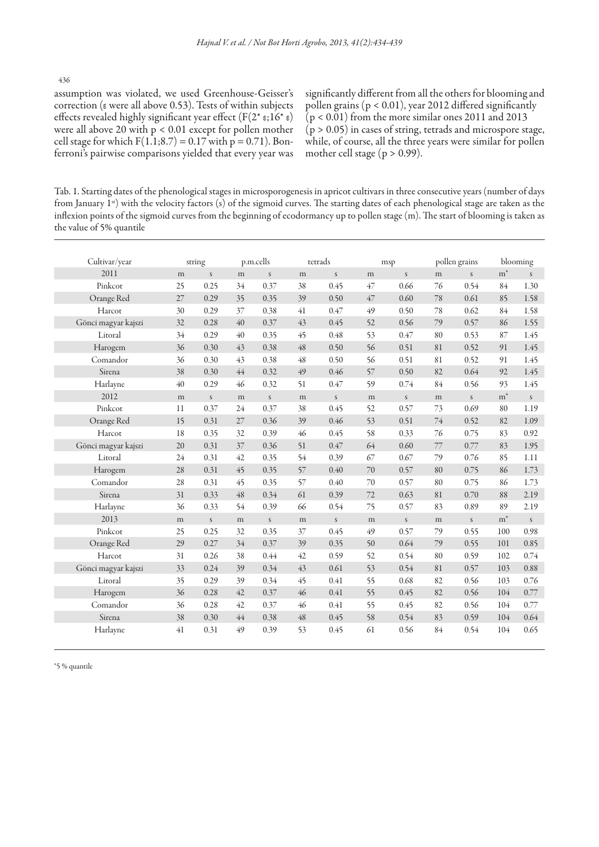436

assumption was violated, we used Greenhouse-Geisser's correction (ε were all above 0.53). Tests of within subjects effects revealed highly significant year effect ( $F(2 * ε; 16 * ε)$ were all above 20 with p < 0.01 except for pollen mother cell stage for which  $F(1.1; 8.7) = 0.17$  with  $p = 0.71$ ). Bonferroni's pairwise comparisons yielded that every year was

significantly different from all the others for blooming and pollen grains (p < 0.01), year 2012 differed significantly  $(p < 0.01)$  from the more similar ones 2011 and 2013  $(p > 0.05)$  in cases of string, tetrads and microspore stage, while, of course, all the three years were similar for pollen mother cell stage ( $p > 0.99$ ).

Tab. 1. Starting dates of the phenological stages in microsporogenesis in apricot cultivars in three consecutive years (number of days from January 1st) with the velocity factors (s) of the sigmoid curves. The starting dates of each phenological stage are taken as the inflexion points of the sigmoid curves from the beginning of ecodormancy up to pollen stage (m). The start of blooming is taken as the value of 5% quantile

| Cultivar/year       | string |              | p.m.cells |               | tetrads     |                  | msp |               | pollen grains |               | blooming       |               |
|---------------------|--------|--------------|-----------|---------------|-------------|------------------|-----|---------------|---------------|---------------|----------------|---------------|
| 2011                | m      | $\mathsf S$  | m         | $\sqrt{s}$    | m           | $\boldsymbol{S}$ | m   | $\mathsf S$   | m             | $\mathcal{S}$ | $\mathbf{m}^*$ | S             |
| Pinkcot             | 25     | 0.25         | 34        | 0.37          | 38          | 0.45             | 47  | 0.66          | 76            | 0.54          | 84             | 1.30          |
| Orange Red          | 27     | 0.29         | 35        | 0.35          | 39          | 0.50             | 47  | 0.60          | 78            | 0.61          | 85             | 1.58          |
| Harcot              | 30     | 0.29         | 37        | 0.38          | 41          | 0.47             | 49  | 0.50          | 78            | 0.62          | 84             | 1.58          |
| Gönci magyar kajszi | 32     | 0.28         | 40        | 0.37          | 43          | 0.45             | 52  | 0.56          | 79            | 0.57          | 86             | 1.55          |
| Litoral             | 34     | 0.29         | 40        | 0.35          | 45          | 0.48             | 53  | 0.47          | 80            | 0.53          | 87             | 1.45          |
| Harogem             | 36     | 0.30         | 43        | 0.38          | $\sqrt{48}$ | 0.50             | 56  | 0.51          | 81            | 0.52          | 91             | 1.45          |
| Comandor            | 36     | 0.30         | 43        | 0.38          | 48          | 0.50             | 56  | 0.51          | 81            | 0.52          | 91             | 1.45          |
| Sirena              | 38     | 0.30         | $44$      | 0.32          | 49          | 0.46             | 57  | 0.50          | 82            | 0.64          | 92             | 1.45          |
| Harlayne            | 40     | 0.29         | 46        | 0.32          | 51          | 0.47             | 59  | 0.74          | 84            | 0.56          | 93             | 1.45          |
| 2012                | m      | $\mathsf{s}$ | m         | $\mathsf{S}$  | m           | $\boldsymbol{S}$ | m   | $\mathcal{S}$ | m             | $\mathsf{S}$  | $m^*$          | $\mathcal{S}$ |
| Pinkcot             | 11     | 0.37         | 24        | 0.37          | 38          | 0.45             | 52  | 0.57          | 73            | 0.69          | 80             | 1.19          |
| Orange Red          | 15     | 0.31         | 27        | 0.36          | 39          | 0.46             | 53  | 0.51          | $74\,$        | 0.52          | 82             | 1.09          |
| Harcot              | 18     | 0.35         | 32        | 0.39          | 46          | 0.45             | 58  | 0.33          | 76            | 0.75          | 83             | 0.92          |
| Gönci magyar kajszi | 20     | 0.31         | 37        | 0.36          | 51          | 0.47             | 64  | 0.60          | 77            | 0.77          | 83             | 1.95          |
| Litoral             | 24     | 0.31         | 42        | 0.35          | 54          | 0.39             | 67  | 0.67          | 79            | 0.76          | 85             | 1.11          |
| Harogem             | 28     | 0.31         | 45        | 0.35          | 57          | 0.40             | 70  | 0.57          | 80            | 0.75          | 86             | 1.73          |
| Comandor            | 28     | 0.31         | 45        | 0.35          | 57          | 0.40             | 70  | 0.57          | 80            | 0.75          | 86             | 1.73          |
| Sirena              | 31     | 0.33         | 48        | 0.34          | 61          | 0.39             | 72  | 0.63          | 81            | 0.70          | 88             | 2.19          |
| Harlayne            | 36     | 0.33         | 54        | 0.39          | 66          | 0.54             | 75  | 0.57          | 83            | 0.89          | 89             | 2.19          |
| 2013                | m      | $\mathsf{s}$ | m         | $\mathcal{S}$ | m           | $\boldsymbol{S}$ | m   | $\mathsf{s}$  | m             | $\mathsf{s}$  | $m^*$          | $\mathcal{S}$ |
| Pinkcot             | 25     | 0.25         | 32        | 0.35          | 37          | 0.45             | 49  | 0.57          | 79            | 0.55          | 100            | 0.98          |
| Orange Red          | 29     | 0.27         | 34        | 0.37          | 39          | 0.35             | 50  | 0.64          | 79            | 0.55          | 101            | 0.85          |
| Harcot              | 31     | 0.26         | 38        | 0.44          | 42          | 0.59             | 52  | 0.54          | 80            | 0.59          | 102            | 0.74          |
| Gönci magyar kajszi | 33     | 0.24         | 39        | 0.34          | 43          | 0.61             | 53  | 0.54          | 81            | 0.57          | 103            | 0.88          |
| Litoral             | 35     | 0.29         | 39        | 0.34          | 45          | 0.41             | 55  | 0.68          | 82            | 0.56          | 103            | 0.76          |
| Harogem             | 36     | 0.28         | $42\,$    | 0.37          | 46          | 0.41             | 55  | 0.45          | 82            | 0.56          | 104            | 0.77          |
| Comandor            | 36     | 0.28         | 42        | 0.37          | 46          | 0.41             | 55  | 0.45          | 82            | 0.56          | 104            | 0.77          |
| Sirena              | 38     | 0.30         | 44        | 0.38          | $\sqrt{48}$ | 0.45             | 58  | 0.54          | 83            | 0.59          | 104            | 0.64          |
| Harlayne            | 41     | 0.31         | 49        | 0.39          | 53          | 0.45             | 61  | 0.56          | 84            | 0.54          | 104            | 0.65          |

\*5 % quantile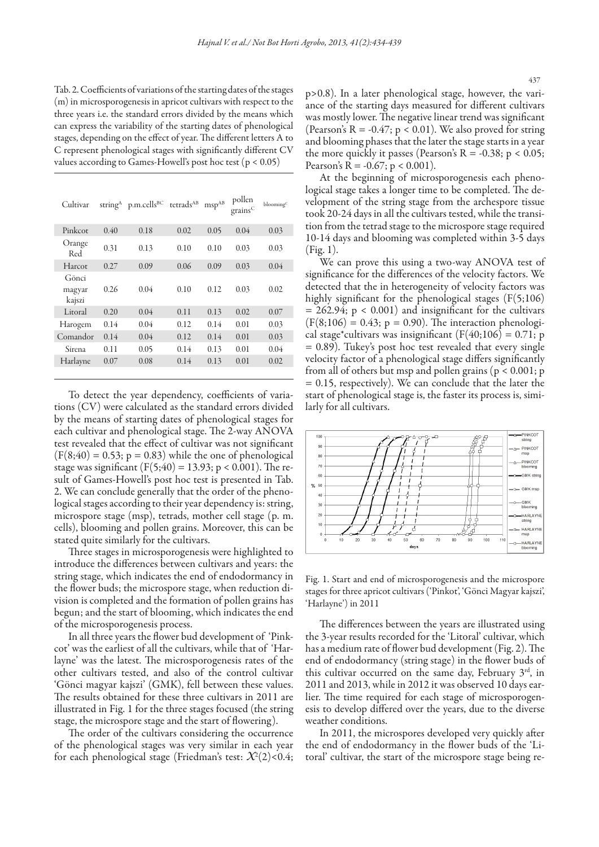Tab. 2. Coefficients of variations of the starting dates of the stages (m) in microsporogenesis in apricot cultivars with respect to the three years i.e. the standard errors divided by the means which can express the variability of the starting dates of phenological stages, depending on the effect of year. The different letters A to C represent phenological stages with significantly different CV values according to Games-Howell's post hoc test (p < 0.05)

| Cultivar                  | string <sup>A</sup> | p.m.cells <sup>BC</sup> | tetrads <sup>AB</sup> | $msp^{AB}$ | pollen<br>grains <sup>C</sup> | blooming <sup>C</sup> |
|---------------------------|---------------------|-------------------------|-----------------------|------------|-------------------------------|-----------------------|
| Pinkcot                   | 0.40                | 0.18                    | 0.02                  | 0.05       | 0.04                          | 0.03                  |
| Orange<br>Red             | 0.31                | 0.13                    | 0.10                  | 0.10       | 0.03                          | 0.03                  |
| Harcot                    | 0.27                | 0.09                    | 0.06                  | 0.09       | 0.03                          | 0.04                  |
| Gönci<br>magyar<br>kajszi | 0.26                | 0.04                    | 0.10                  | 0.12       | 0.03                          | 0.02                  |
| Litoral                   | 0.20                | 0.04                    | 0.11                  | 0.13       | 0.02                          | 0.07                  |
| Harogem                   | 0.14                | 0.04                    | 0.12                  | 0.14       | 0.01                          | 0.03                  |
| Comandor                  | 0.14                | 0.04                    | 0.12                  | 0.14       | 0.01                          | 0.03                  |
| Sirena                    | 0.11                | 0.05                    | 0.14                  | 0.13       | 0.01                          | 0.04                  |
| Harlayne                  | 0.07                | 0.08                    | 0.14                  | 0.13       | 0.01                          | 0.02                  |
|                           |                     |                         |                       |            |                               |                       |

To detect the year dependency, coefficients of variations (CV) were calculated as the standard errors divided by the means of starting dates of phenological stages for each cultivar and phenological stage. The 2-way ANOVA test revealed that the effect of cultivar was not significant  $(F(8, 40) = 0.53; p = 0.83)$  while the one of phenological stage was significant (F(5;40) = 13.93; p < 0.001). The result of Games-Howell's post hoc test is presented in Tab. 2. We can conclude generally that the order of the phenological stages according to their year dependency is: string, microspore stage (msp), tetrads, mother cell stage (p. m. cells), blooming and pollen grains. Moreover, this can be stated quite similarly for the cultivars.

Three stages in microsporogenesis were highlighted to introduce the differences between cultivars and years: the string stage, which indicates the end of endodormancy in the flower buds; the microspore stage, when reduction division is completed and the formation of pollen grains has begun; and the start of blooming, which indicates the end of the microsporogenesis process.

In all three years the flower bud development of 'Pinkcot' was the earliest of all the cultivars, while that of 'Harlayne' was the latest. The microsporogenesis rates of the other cultivars tested, and also of the control cultivar 'Gönci magyar kajszi' (GMK), fell between these values. The results obtained for these three cultivars in 2011 are illustrated in Fig. 1 for the three stages focused (the string stage, the microspore stage and the start of flowering).

The order of the cultivars considering the occurrence of the phenological stages was very similar in each year for each phenological stage (Friedman's test: *X*<sup>2</sup> (2)<0.4; p>0.8). In a later phenological stage, however, the variance of the starting days measured for different cultivars was mostly lower. The negative linear trend was significant (Pearson's  $R = -0.47$ ;  $p < 0.01$ ). We also proved for string and blooming phases that the later the stage starts in a year the more quickly it passes (Pearson's  $R = -0.38$ ;  $p < 0.05$ ; Pearson's R =  $-0.67$ ; p < 0.001).

At the beginning of microsporogenesis each phenological stage takes a longer time to be completed. The development of the string stage from the archespore tissue took 20-24 days in all the cultivars tested, while the transition from the tetrad stage to the microspore stage required 10-14 days and blooming was completed within 3-5 days (Fig. 1).

We can prove this using a two-way ANOVA test of significance for the differences of the velocity factors. We detected that the in heterogeneity of velocity factors was highly significant for the phenological stages  $(F(5,106))$  $= 262.94$ ;  $p < 0.001$ ) and insignificant for the cultivars  $(F(8;106) = 0.43; p = 0.90)$ . The interaction phenological stage\*cultivars was insignificant ( $F(40;106) = 0.71$ ; p  $= 0.89$ ). Tukey's post hoc test revealed that every single velocity factor of a phenological stage differs significantly from all of others but msp and pollen grains ( $p < 0.001$ ; p = 0.15, respectively). We can conclude that the later the start of phenological stage is, the faster its process is, similarly for all cultivars.



Fig. 1. Start and end of microsporogenesis and the microspore stages for three apricot cultivars ('Pinkot', 'Gönci Magyar kajszi', 'Harlayne') in 2011

The differences between the years are illustrated using the 3-year results recorded for the 'Litoral' cultivar, which has a medium rate of flower bud development (Fig. 2). The end of endodormancy (string stage) in the flower buds of this cultivar occurred on the same day, February 3<sup>rd</sup>, in 2011 and 2013, while in 2012 it was observed 10 days earlier. The time required for each stage of microsporogenesis to develop differed over the years, due to the diverse weather conditions.

In 2011, the microspores developed very quickly after the end of endodormancy in the flower buds of the 'Litoral' cultivar, the start of the microspore stage being re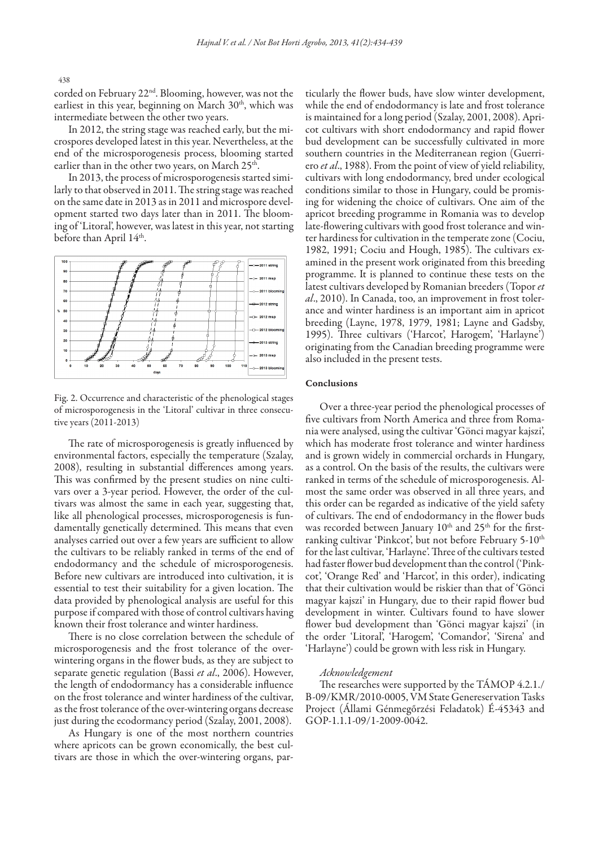corded on February 22nd. Blooming, however, was not the earliest in this year, beginning on March  $30<sup>th</sup>$ , which was intermediate between the other two years.

In 2012, the string stage was reached early, but the microspores developed latest in this year. Nevertheless, at the end of the microsporogenesis process, blooming started earlier than in the other two years, on March 25<sup>th</sup>.

In 2013, the process of microsporogenesis started similarly to that observed in 2011. The string stage was reached on the same date in 2013 as in 2011 and microspore development started two days later than in 2011. The blooming of 'Litoral', however, was latest in this year, not starting before than April 14th.



Fig. 2. Occurrence and characteristic of the phenological stages of microsporogenesis in the 'Litoral' cultivar in three consecutive years (2011-2013)

The rate of microsporogenesis is greatly influenced by environmental factors, especially the temperature (Szalay, 2008), resulting in substantial differences among years. This was confirmed by the present studies on nine cultivars over a 3-year period. However, the order of the cultivars was almost the same in each year, suggesting that, like all phenological processes, microsporogenesis is fundamentally genetically determined. This means that even analyses carried out over a few years are sufficient to allow the cultivars to be reliably ranked in terms of the end of endodormancy and the schedule of microsporogenesis. Before new cultivars are introduced into cultivation, it is essential to test their suitability for a given location. The data provided by phenological analysis are useful for this purpose if compared with those of control cultivars having known their frost tolerance and winter hardiness.

There is no close correlation between the schedule of microsporogenesis and the frost tolerance of the overwintering organs in the flower buds, as they are subject to separate genetic regulation (Bassi *et al*., 2006). However, the length of endodormancy has a considerable influence on the frost tolerance and winter hardiness of the cultivar, as the frost tolerance of the over-wintering organs decrease just during the ecodormancy period (Szalay, 2001, 2008).

As Hungary is one of the most northern countries where apricots can be grown economically, the best cultivars are those in which the over-wintering organs, particularly the flower buds, have slow winter development, while the end of endodormancy is late and frost tolerance is maintained for a long period (Szalay, 2001, 2008). Apricot cultivars with short endodormancy and rapid flower bud development can be successfully cultivated in more southern countries in the Mediterranean region (Guerriero *et al*., 1988). From the point of view of yield reliability, cultivars with long endodormancy, bred under ecological conditions similar to those in Hungary, could be promising for widening the choice of cultivars. One aim of the apricot breeding programme in Romania was to develop late-flowering cultivars with good frost tolerance and winter hardiness for cultivation in the temperate zone (Cociu, 1982, 1991; Cociu and Hough, 1985). The cultivars examined in the present work originated from this breeding programme. It is planned to continue these tests on the latest cultivars developed by Romanian breeders (Topor *et al*., 2010). In Canada, too, an improvement in frost tolerance and winter hardiness is an important aim in apricot breeding (Layne, 1978, 1979, 1981; Layne and Gadsby, 1995). Three cultivars ('Harcot', Harogem', 'Harlayne') originating from the Canadian breeding programme were also included in the present tests.

#### Conclusions

Over a three-year period the phenological processes of five cultivars from North America and three from Romania were analysed, using the cultivar 'Gönci magyar kajszi', which has moderate frost tolerance and winter hardiness and is grown widely in commercial orchards in Hungary, as a control. On the basis of the results, the cultivars were ranked in terms of the schedule of microsporogenesis. Almost the same order was observed in all three years, and this order can be regarded as indicative of the yield safety of cultivars. The end of endodormancy in the flower buds was recorded between January 10<sup>th</sup> and 25<sup>th</sup> for the firstranking cultivar 'Pinkcot', but not before February 5-10<sup>th</sup> for the last cultivar, 'Harlayne'. Three of the cultivars tested had faster flower bud development than the control ('Pinkcot', 'Orange Red' and 'Harcot', in this order), indicating that their cultivation would be riskier than that of 'Gönci magyar kajszi' in Hungary, due to their rapid flower bud development in winter. Cultivars found to have slower flower bud development than 'Gönci magyar kajszi' (in the order 'Litoral', 'Harogem', 'Comandor', 'Sirena' and 'Harlayne') could be grown with less risk in Hungary.

### *Acknowledgement*

The researches were supported by the TÁMOP 4.2.1./ B-09/KMR/2010-0005, VM State Genereservation Tasks Project (Állami Génmegőrzési Feladatok) É-45343 and GOP-1.1.1-09/1-2009-0042.

438